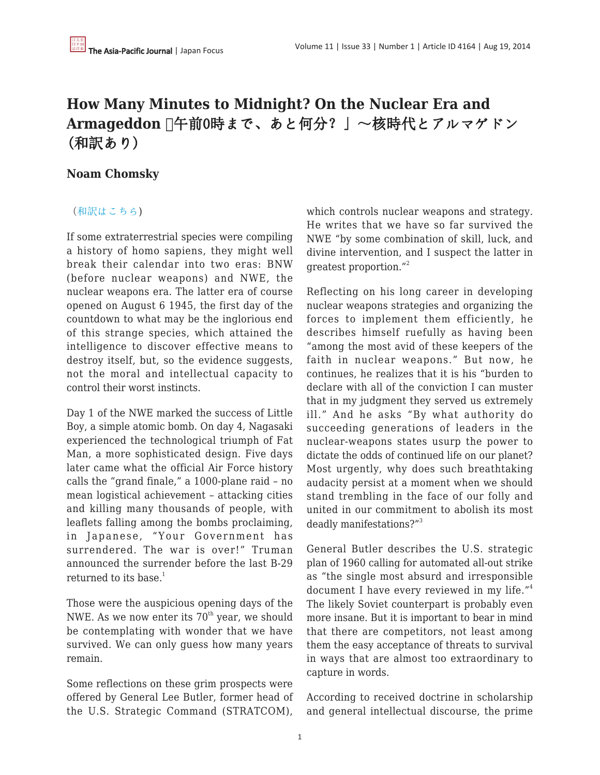## **How Many Minutes to Midnight? On the Nuclear Era and Armageddon 「**午前0時まで、あと何分?」~核時代とアルマゲドン (和訳あり)

## **Noam Chomsky**

## ([和訳はこちら](http://besobernow-yuima.blogspot.com/2014/08/0-japanfocus.html))

If some extraterrestrial species were compiling a history of homo sapiens, they might well break their calendar into two eras: BNW (before nuclear weapons) and NWE, the nuclear weapons era. The latter era of course opened on August 6 1945, the first day of the countdown to what may be the inglorious end of this strange species, which attained the intelligence to discover effective means to destroy itself, but, so the evidence suggests, not the moral and intellectual capacity to control their worst instincts.

Day 1 of the NWE marked the success of Little Boy, a simple atomic bomb. On day 4, Nagasaki experienced the technological triumph of Fat Man, a more sophisticated design. Five days later came what the official Air Force history calls the "grand finale," a 1000-plane raid – no mean logistical achievement – attacking cities and killing many thousands of people, with leaflets falling among the bombs proclaiming, in Japanese, "Your Government has surrendered. The war is over!" Truman announced the surrender before the last B-29 returned to its base. $1$ 

Those were the auspicious opening days of the NWE. As we now enter its  $70<sup>th</sup>$  year, we should be contemplating with wonder that we have survived. We can only guess how many years remain.

Some reflections on these grim prospects were offered by General Lee Butler, former head of the U.S. Strategic Command (STRATCOM), which controls nuclear weapons and strategy. He writes that we have so far survived the NWE "by some combination of skill, luck, and divine intervention, and I suspect the latter in greatest proportion."<sup>2</sup>

Reflecting on his long career in developing nuclear weapons strategies and organizing the forces to implement them efficiently, he describes himself ruefully as having been "among the most avid of these keepers of the faith in nuclear weapons." But now, he continues, he realizes that it is his "burden to declare with all of the conviction I can muster that in my judgment they served us extremely ill." And he asks "By what authority do succeeding generations of leaders in the nuclear-weapons states usurp the power to dictate the odds of continued life on our planet? Most urgently, why does such breathtaking audacity persist at a moment when we should stand trembling in the face of our folly and united in our commitment to abolish its most deadly manifestations?"<sup>3</sup>

General Butler describes the U.S. strategic plan of 1960 calling for automated all-out strike as "the single most absurd and irresponsible document I have every reviewed in my life."<sup>4</sup> The likely Soviet counterpart is probably even more insane. But it is important to bear in mind that there are competitors, not least among them the easy acceptance of threats to survival in ways that are almost too extraordinary to capture in words.

According to received doctrine in scholarship and general intellectual discourse, the prime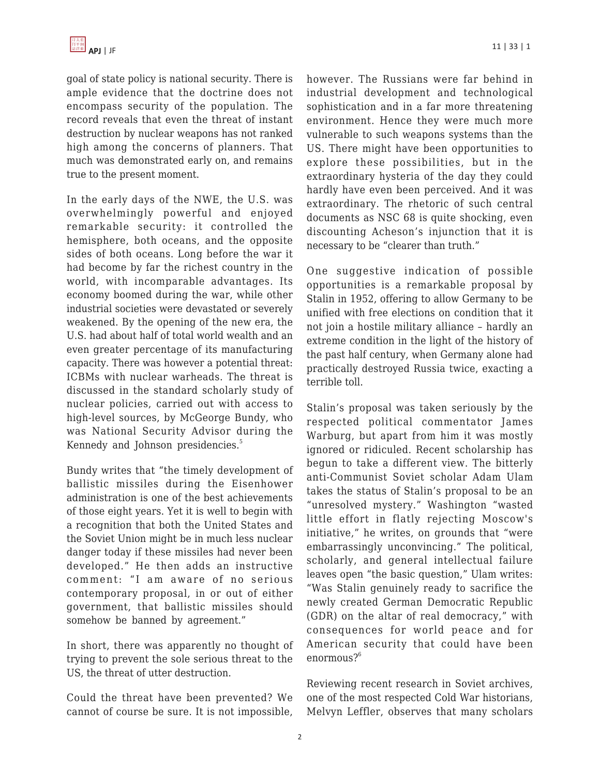goal of state policy is national security. There is ample evidence that the doctrine does not encompass security of the population. The record reveals that even the threat of instant destruction by nuclear weapons has not ranked high among the concerns of planners. That much was demonstrated early on, and remains true to the present moment.

In the early days of the NWE, the U.S. was overwhelmingly powerful and enjoyed remarkable security: it controlled the hemisphere, both oceans, and the opposite sides of both oceans. Long before the war it had become by far the richest country in the world, with incomparable advantages. Its economy boomed during the war, while other industrial societies were devastated or severely weakened. By the opening of the new era, the U.S. had about half of total world wealth and an even greater percentage of its manufacturing capacity. There was however a potential threat: ICBMs with nuclear warheads. The threat is discussed in the standard scholarly study of nuclear policies, carried out with access to high-level sources, by McGeorge Bundy, who was National Security Advisor during the Kennedy and Johnson presidencies.<sup>5</sup>

Bundy writes that "the timely development of ballistic missiles during the Eisenhower administration is one of the best achievements of those eight years. Yet it is well to begin with a recognition that both the United States and the Soviet Union might be in much less nuclear danger today if these missiles had never been developed." He then adds an instructive comment: "I am aware of no serious contemporary proposal, in or out of either government, that ballistic missiles should somehow be banned by agreement."

In short, there was apparently no thought of trying to prevent the sole serious threat to the US, the threat of utter destruction.

Could the threat have been prevented? We cannot of course be sure. It is not impossible,

however. The Russians were far behind in industrial development and technological sophistication and in a far more threatening environment. Hence they were much more vulnerable to such weapons systems than the US. There might have been opportunities to explore these possibilities, but in the extraordinary hysteria of the day they could hardly have even been perceived. And it was extraordinary. The rhetoric of such central documents as NSC 68 is quite shocking, even discounting Acheson's injunction that it is necessary to be "clearer than truth."

One suggestive indication of possible opportunities is a remarkable proposal by Stalin in 1952, offering to allow Germany to be unified with free elections on condition that it not join a hostile military alliance – hardly an extreme condition in the light of the history of the past half century, when Germany alone had practically destroyed Russia twice, exacting a terrible toll.

Stalin's proposal was taken seriously by the respected political commentator James Warburg, but apart from him it was mostly ignored or ridiculed. Recent scholarship has begun to take a different view. The bitterly anti-Communist Soviet scholar Adam Ulam takes the status of Stalin's proposal to be an "unresolved mystery." Washington "wasted little effort in flatly rejecting Moscow's initiative," he writes, on grounds that "were embarrassingly unconvincing." The political, scholarly, and general intellectual failure leaves open "the basic question," Ulam writes: "Was Stalin genuinely ready to sacrifice the newly created German Democratic Republic (GDR) on the altar of real democracy," with consequences for world peace and for American security that could have been  $enormous?$ <sup>6</sup>

Reviewing recent research in Soviet archives, one of the most respected Cold War historians, Melvyn Leffler, observes that many scholars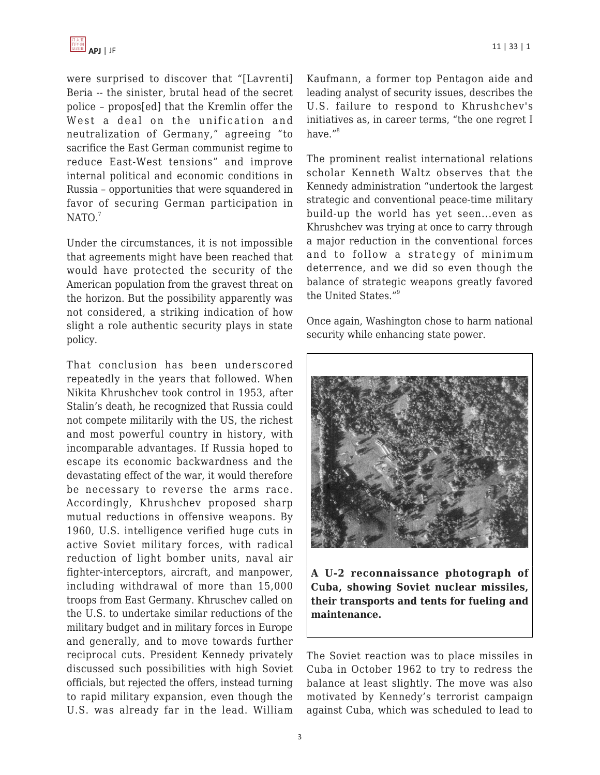were surprised to discover that "[Lavrenti] Beria -- the sinister, brutal head of the secret police – propos[ed] that the Kremlin offer the West a deal on the unification and neutralization of Germany," agreeing "to sacrifice the East German communist regime to reduce East-West tensions" and improve internal political and economic conditions in Russia – opportunities that were squandered in favor of securing German participation in  $NATO.<sup>7</sup>$ 

Under the circumstances, it is not impossible that agreements might have been reached that would have protected the security of the American population from the gravest threat on the horizon. But the possibility apparently was not considered, a striking indication of how slight a role authentic security plays in state policy.

That conclusion has been underscored repeatedly in the years that followed. When Nikita Khrushchev took control in 1953, after Stalin's death, he recognized that Russia could not compete militarily with the US, the richest and most powerful country in history, with incomparable advantages. If Russia hoped to escape its economic backwardness and the devastating effect of the war, it would therefore be necessary to reverse the arms race. Accordingly, Khrushchev proposed sharp mutual reductions in offensive weapons. By 1960, U.S. intelligence verified huge cuts in active Soviet military forces, with radical reduction of light bomber units, naval air fighter-interceptors, aircraft, and manpower, including withdrawal of more than 15,000 troops from East Germany. Khruschev called on the U.S. to undertake similar reductions of the military budget and in military forces in Europe and generally, and to move towards further reciprocal cuts. President Kennedy privately discussed such possibilities with high Soviet officials, but rejected the offers, instead turning to rapid military expansion, even though the U.S. was already far in the lead. William Kaufmann, a former top Pentagon aide and leading analyst of security issues, describes the U.S. failure to respond to Khrushchev's initiatives as, in career terms, "the one regret I have."<sup>8</sup>

The prominent realist international relations scholar Kenneth Waltz observes that the Kennedy administration "undertook the largest strategic and conventional peace-time military build-up the world has yet seen...even as Khrushchev was trying at once to carry through a major reduction in the conventional forces and to follow a strategy of minimum deterrence, and we did so even though the balance of strategic weapons greatly favored the United States."<sup>9</sup>

Once again, Washington chose to harm national security while enhancing state power.



**A U-2 reconnaissance photograph of Cuba, showing Soviet nuclear missiles, their transports and tents for fueling and maintenance.**

The Soviet reaction was to place missiles in Cuba in October 1962 to try to redress the balance at least slightly. The move was also motivated by Kennedy's terrorist campaign against Cuba, which was scheduled to lead to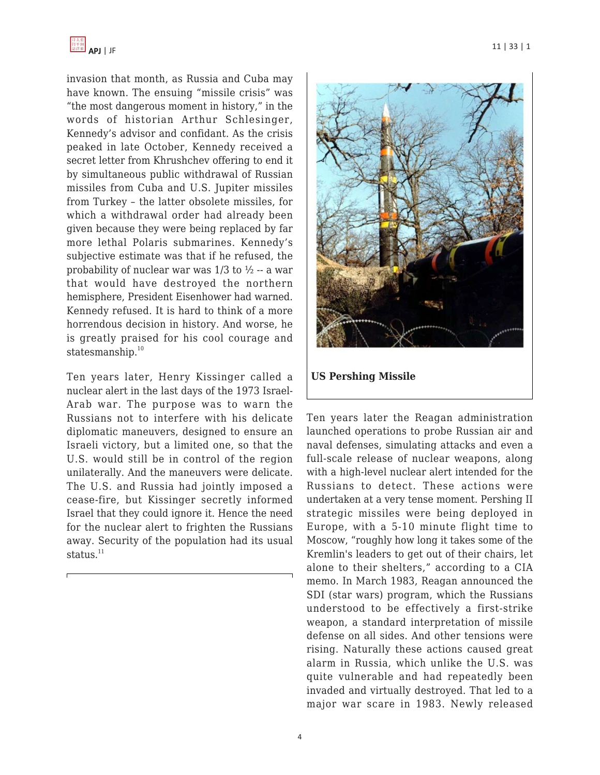

invasion that month, as Russia and Cuba may have known. The ensuing "missile crisis" was "the most dangerous moment in history," in the words of historian Arthur Schlesinger, Kennedy's advisor and confidant. As the crisis peaked in late October, Kennedy received a secret letter from Khrushchev offering to end it by simultaneous public withdrawal of Russian missiles from Cuba and U.S. Jupiter missiles from Turkey – the latter obsolete missiles, for which a withdrawal order had already been given because they were being replaced by far more lethal Polaris submarines. Kennedy's subjective estimate was that if he refused, the probability of nuclear war was 1/3 to ½ -- a war that would have destroyed the northern hemisphere, President Eisenhower had warned. Kennedy refused. It is hard to think of a more horrendous decision in history. And worse, he is greatly praised for his cool courage and statesmanship. $10$ 

Ten years later, Henry Kissinger called a nuclear alert in the last days of the 1973 Israel-Arab war. The purpose was to warn the Russians not to interfere with his delicate diplomatic maneuvers, designed to ensure an Israeli victory, but a limited one, so that the U.S. would still be in control of the region unilaterally. And the maneuvers were delicate. The U.S. and Russia had jointly imposed a cease-fire, but Kissinger secretly informed Israel that they could ignore it. Hence the need for the nuclear alert to frighten the Russians away. Security of the population had its usual status. $11$ 



Ten years later the Reagan administration launched operations to probe Russian air and naval defenses, simulating attacks and even a full-scale release of nuclear weapons, along with a high-level nuclear alert intended for the Russians to detect. These actions were undertaken at a very tense moment. Pershing II strategic missiles were being deployed in Europe, with a 5-10 minute flight time to Moscow, "roughly how long it takes some of the Kremlin's leaders to get out of their chairs, let alone to their shelters," according to a CIA memo. In March 1983, Reagan announced the SDI (star wars) program, which the Russians understood to be effectively a first-strike weapon, a standard interpretation of missile defense on all sides. And other tensions were rising. Naturally these actions caused great alarm in Russia, which unlike the U.S. was quite vulnerable and had repeatedly been invaded and virtually destroyed. That led to a major war scare in 1983. Newly released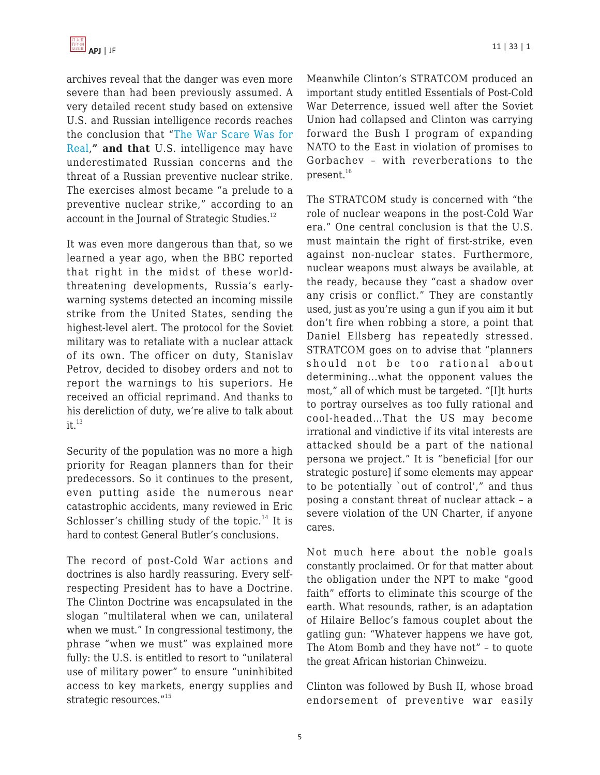

archives reveal that the danger was even more severe than had been previously assumed. A very detailed recent study based on extensive U.S. and Russian intelligence records reaches the conclusion that "[The War Scare Was for](https://www.cia.gov/library/center-for-the-study-of-intelligence/csi-publications/books-and-monographs/a-cold-war-conundrum/source.htm#HEADING1-17) [Real,](https://www.cia.gov/library/center-for-the-study-of-intelligence/csi-publications/books-and-monographs/a-cold-war-conundrum/source.htm#HEADING1-17)**" and that** U.S. intelligence may have underestimated Russian concerns and the threat of a Russian preventive nuclear strike. The exercises almost became "a prelude to a preventive nuclear strike," according to an account in the Journal of Strategic Studies.<sup>12</sup>

It was even more dangerous than that, so we learned a year ago, when the BBC reported that right in the midst of these worldthreatening developments, Russia's earlywarning systems detected an incoming missile strike from the United States, sending the highest-level alert. The protocol for the Soviet military was to retaliate with a nuclear attack of its own. The officer on duty, Stanislav Petrov, decided to disobey orders and not to report the warnings to his superiors. He received an official reprimand. And thanks to his dereliction of duty, we're alive to talk about  $it.<sup>13</sup>$ 

Security of the population was no more a high priority for Reagan planners than for their predecessors. So it continues to the present, even putting aside the numerous near catastrophic accidents, many reviewed in Eric Schlosser's chilling study of the topic. $14$  It is hard to contest General Butler's conclusions.

The record of post-Cold War actions and doctrines is also hardly reassuring. Every selfrespecting President has to have a Doctrine. The Clinton Doctrine was encapsulated in the slogan "multilateral when we can, unilateral when we must." In congressional testimony, the phrase "when we must" was explained more fully: the U.S. is entitled to resort to "unilateral use of military power" to ensure "uninhibited access to key markets, energy supplies and strategic resources."<sup>15</sup>

Meanwhile Clinton's STRATCOM produced an important study entitled Essentials of Post-Cold War Deterrence, issued well after the Soviet Union had collapsed and Clinton was carrying forward the Bush I program of expanding NATO to the East in violation of promises to Gorbachev – with reverberations to the present.<sup>16</sup>

The STRATCOM study is concerned with "the role of nuclear weapons in the post-Cold War era." One central conclusion is that the U.S. must maintain the right of first-strike, even against non-nuclear states. Furthermore, nuclear weapons must always be available, at the ready, because they "cast a shadow over any crisis or conflict." They are constantly used, just as you're using a gun if you aim it but don't fire when robbing a store, a point that Daniel Ellsberg has repeatedly stressed. STRATCOM goes on to advise that "planners should not be too rational about determining...what the opponent values the most," all of which must be targeted. "[I]t hurts to portray ourselves as too fully rational and cool-headed…That the US may become irrational and vindictive if its vital interests are attacked should be a part of the national persona we project." It is "beneficial [for our strategic posture] if some elements may appear to be potentially `out of control'," and thus posing a constant threat of nuclear attack – a severe violation of the UN Charter, if anyone cares.

Not much here about the noble goals constantly proclaimed. Or for that matter about the obligation under the NPT to make "good faith" efforts to eliminate this scourge of the earth. What resounds, rather, is an adaptation of Hilaire Belloc's famous couplet about the gatling gun: "Whatever happens we have got, The Atom Bomb and they have not" – to quote the great African historian Chinweizu.

Clinton was followed by Bush II, whose broad endorsement of preventive war easily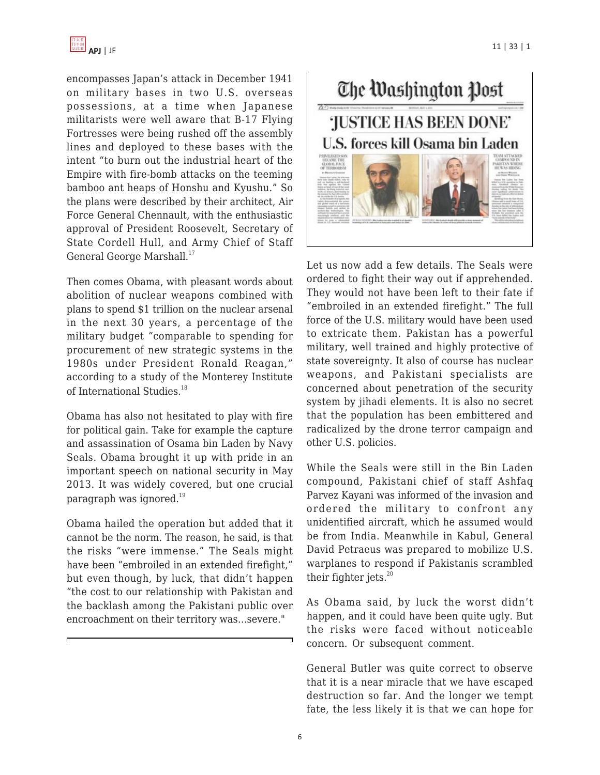

encompasses Japan's attack in December 1941 on military bases in two U.S. overseas possessions, at a time when Japanese militarists were well aware that B-17 Flying Fortresses were being rushed off the assembly lines and deployed to these bases with the intent "to burn out the industrial heart of the Empire with fire-bomb attacks on the teeming bamboo ant heaps of Honshu and Kyushu." So the plans were described by their architect, Air Force General Chennault, with the enthusiastic approval of President Roosevelt, Secretary of State Cordell Hull, and Army Chief of Staff General George Marshall.<sup>17</sup>

Then comes Obama, with pleasant words about abolition of nuclear weapons combined with plans to spend \$1 trillion on the nuclear arsenal in the next 30 years, a percentage of the military budget "comparable to spending for procurement of new strategic systems in the 1980s under President Ronald Reagan," according to a study of the Monterey Institute of International Studies.<sup>18</sup>

Obama has also not hesitated to play with fire for political gain. Take for example the capture and assassination of Osama bin Laden by Navy Seals. Obama brought it up with pride in an important speech on national security in May 2013. It was widely covered, but one crucial paragraph was ignored.<sup>19</sup>

Obama hailed the operation but added that it cannot be the norm. The reason, he said, is that the risks "were immense." The Seals might have been "embroiled in an extended firefight," but even though, by luck, that didn't happen "the cost to our relationship with Pakistan and the backlash among the Pakistani public over encroachment on their territory was…severe."



Let us now add a few details. The Seals were ordered to fight their way out if apprehended. They would not have been left to their fate if "embroiled in an extended firefight." The full force of the U.S. military would have been used to extricate them. Pakistan has a powerful military, well trained and highly protective of state sovereignty. It also of course has nuclear weapons, and Pakistani specialists are concerned about penetration of the security system by jihadi elements. It is also no secret that the population has been embittered and radicalized by the drone terror campaign and other U.S. policies.

While the Seals were still in the Bin Laden compound, Pakistani chief of staff Ashfaq Parvez Kayani was informed of the invasion and ordered the military to confront any unidentified aircraft, which he assumed would be from India. Meanwhile in Kabul, General David Petraeus was prepared to mobilize U.S. warplanes to respond if Pakistanis scrambled their fighter jets. $20$ 

As Obama said, by luck the worst didn't happen, and it could have been quite ugly. But the risks were faced without noticeable concern. Or subsequent comment.

General Butler was quite correct to observe that it is a near miracle that we have escaped destruction so far. And the longer we tempt fate, the less likely it is that we can hope for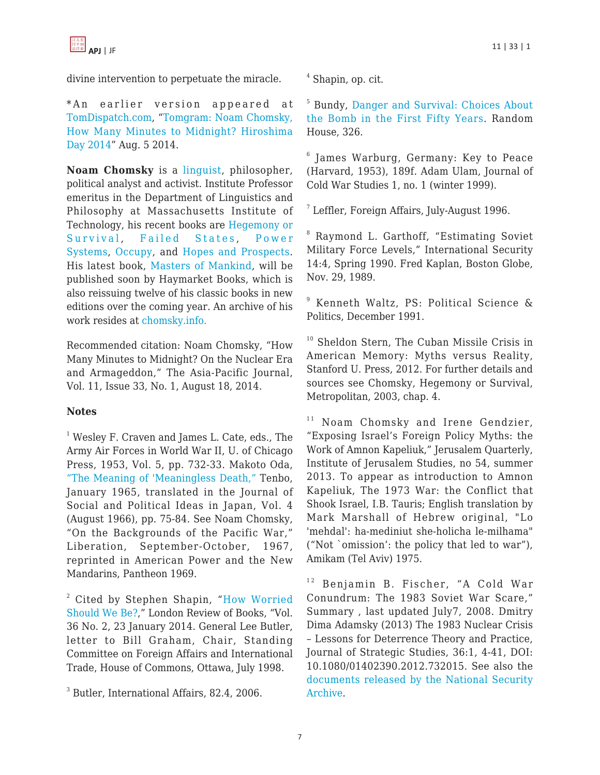divine intervention to perpetuate the miracle.

\*An earlier version appeared at [TomDispatch.com](http://TomDispatch.com), ["Tomgram: Noam Chomsky,](http://www.tomdispatch.com/post/175877/tomgram%3A_noam_chomsky,_why_national_security_has_nothing_to_do_with_security/,) [How Many Minutes to Midnight? Hiroshima](http://www.tomdispatch.com/post/175877/tomgram%3A_noam_chomsky,_why_national_security_has_nothing_to_do_with_security/,) [Day 2014"](http://www.tomdispatch.com/post/175877/tomgram%3A_noam_chomsky,_why_national_security_has_nothing_to_do_with_security/,) Aug. 5 2014.

**Noam Chomsky** is a [linguist](https://en.wikipedia.org/wiki/Linguistics), philosopher, political analyst and activist. Institute Professor emeritus in the Department of Linguistics and Philosophy at Massachusetts Institute of Technology, his recent books are [Hegemony or](http://amzn.com/0805076883/?tag=theasipacjo0b-20) [Survival](http://amzn.com/0805076883/?tag=theasipacjo0b-20), [Failed States](http://amzn.com/0805082840/?tag=theasipacjo0b-20), [Power](http://amzn.com/0805096159/?tag=theasipacjo0b-20) [Systems](http://amzn.com/0805096159/?tag=theasipacjo0b-20), [Occupy,](http://amzn.com/1884519016/?tag=theasipacjo0b-20) and [Hopes and Prospects.](http://amzn.com/1931859965/?tag=theasipacjo0b-20) His latest book, [Masters of Mankind](http://amzn.com/160846363X/?tag=theasipacjo0b-20), will be published soon by Haymarket Books, which is also reissuing twelve of his classic books in new editions over the coming year. An archive of his work resides at [chomsky.info.](http://www.chomsky.info)

Recommended citation: Noam Chomsky, "How Many Minutes to Midnight? On the Nuclear Era and Armageddon," The Asia-Pacific Journal, Vol. 11, Issue 33, No. 1, August 18, 2014.

## **Notes**

<sup>1</sup> Wesley F. Craven and James L. Cate, eds., The Army Air Forces in World War II, U. of Chicago Press, 1953, Vol. 5, pp. 732-33. Makoto Oda, ["The Meaning of 'Meaningless Death,"](http://monkeyfist.com:8080/ChomskyArchive/misc/oda_html) Tenbo, January 1965, translated in the Journal of Social and Political Ideas in Japan, Vol. 4 (August 1966), pp. 75-84. See Noam Chomsky, "On the Backgrounds of the Pacific War," Liberation, September-October, 1967, reprinted in American Power and the New Mandarins, Pantheon 1969.

<sup>2</sup> Cited by Stephen Shapin, "[How Worried](http://fas.org/news/canada/18-appa-e.htm) [Should We Be?,](http://fas.org/news/canada/18-appa-e.htm)" London Review of Books, "Vol. 36 No. 2, 23 January 2014. General Lee Butler, letter to Bill Graham, Chair, Standing Committee on Foreign Affairs and International Trade, House of Commons, Ottawa, July 1998.

3 Butler, International Affairs, 82.4, 2006.

4 Shapin, op. cit.

5 Bundy, [Danger and Survival: Choices About](http://www.amazon.com/Danger-Survival-Choices-About-First/dp/0394522788/ref=sr_1_3?s=books&ie=UTF8&qid=1406255785&sr=1-3&keywords=mcgeorge+bundy) [the Bomb in the First Fifty Years.](http://www.amazon.com/Danger-Survival-Choices-About-First/dp/0394522788/ref=sr_1_3?s=books&ie=UTF8&qid=1406255785&sr=1-3&keywords=mcgeorge+bundy) Random House, 326.

 $^6$  James Warburg, Germany: Key to Peace (Harvard, 1953), 189f. Adam Ulam, Journal of Cold War Studies 1, no. 1 (winter 1999).

7 Leffler, Foreign Affairs, July-August 1996.

<sup>8</sup> Raymond L. Garthoff, "Estimating Soviet Military Force Levels," International Security 14:4, Spring 1990. Fred Kaplan, Boston Globe, Nov. 29, 1989.

9 Kenneth Waltz, PS: Political Science & Politics, December 1991.

<sup>10</sup> Sheldon Stern, The Cuban Missile Crisis in American Memory: Myths versus Reality, Stanford U. Press, 2012. For further details and sources see Chomsky, Hegemony or Survival, Metropolitan, 2003, chap. 4.

<sup>11</sup> Noam Chomsky and Irene Gendzier, "Exposing Israel's Foreign Policy Myths: the Work of Amnon Kapeliuk," Jerusalem Quarterly, Institute of Jerusalem Studies, no 54, summer 2013. To appear as introduction to Amnon Kapeliuk, The 1973 War: the Conflict that Shook Israel, I.B. Tauris; English translation by Mark Marshall of Hebrew original, "Lo 'mehdal': ha-mediniut she-holicha le-milhama" ("Not `omission': the policy that led to war"), Amikam (Tel Aviv) 1975.

<sup>12</sup> Benjamin B. Fischer, "A Cold War Conundrum: The 1983 Soviet War Scare," Summary , last updated July7, 2008. Dmitry Dima Adamsky (2013) The 1983 Nuclear Crisis – Lessons for Deterrence Theory and Practice, Journal of Strategic Studies, 36:1, 4-41, DOI: 10.1080/01402390.2012.732015. See also the [documents released by the National Security](http://www.gwu.edu/~nsarchiv/NSAEBB/NSAEBB428/) [Archive.](http://www.gwu.edu/~nsarchiv/NSAEBB/NSAEBB428/)